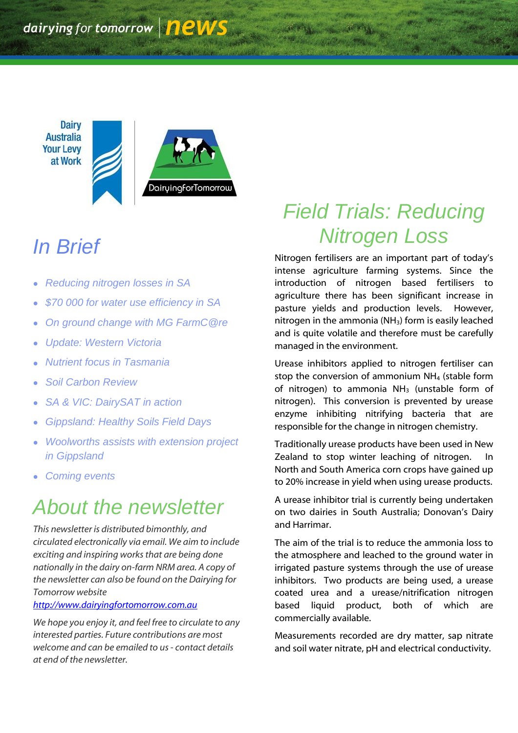**Dairy Australia Your Levy** at Work DairuingforTomorrow

# *In Brief*

- *Reducing nitrogen losses in SA*
- *\$70 000 for water use efficiency in SA*
- *On ground change with MG FarmC@re*
- *Update: Western Victoria*
- *Nutrient focus in Tasmania*
- *Soil Carbon Review*
- *SA & VIC: DairySAT in action*
- *Gippsland: Healthy Soils Field Days*
- *Woolworths assists with extension project in Gippsland*
- *Coming events*

## *About the newsletter*

*This newsletter is distributed bimonthly, and circulated electronically via email. We aim to include exciting and inspiring works that are being done nationally in the dairy on-farm NRM area. A copy of the newsletter can also be found on the Dairying for Tomorrow website* 

#### *[http://www.dairyingfortomorrow.com.au](http://www.dairyingfortomorrow.com.au/)*

*We hope you enjoy it, and feel free to circulate to any interested parties. Future contributions are most welcome and can be emailed to us- contact details at end of the newsletter.*

## *Field Trials: Reducing Nitrogen Loss*

Nitrogen fertilisers are an important part of today"s intense agriculture farming systems. Since the introduction of nitrogen based fertilisers to agriculture there has been significant increase in pasture yields and production levels. However, nitrogen in the ammonia (NH<sub>3</sub>) form is easily leached and is quite volatile and therefore must be carefully managed in the environment.

Urease inhibitors applied to nitrogen fertiliser can stop the conversion of ammonium NH<sup>4</sup> (stable form of nitrogen) to ammonia  $NH<sub>3</sub>$  (unstable form of nitrogen). This conversion is prevented by urease enzyme inhibiting nitrifying bacteria that are responsible for the change in nitrogen chemistry.

Traditionally urease products have been used in New Zealand to stop winter leaching of nitrogen. North and South America corn crops have gained up to 20% increase in yield when using urease products.

A urease inhibitor trial is currently being undertaken on two dairies in South Australia; Donovan's Dairy and Harrimar.

The aim of the trial is to reduce the ammonia loss to the atmosphere and leached to the ground water in irrigated pasture systems through the use of urease inhibitors. Two products are being used, a urease coated urea and a urease/nitrification nitrogen based liquid product, both of which are commercially available.

Measurements recorded are dry matter, sap nitrate and soil water nitrate, pH and electrical conductivity.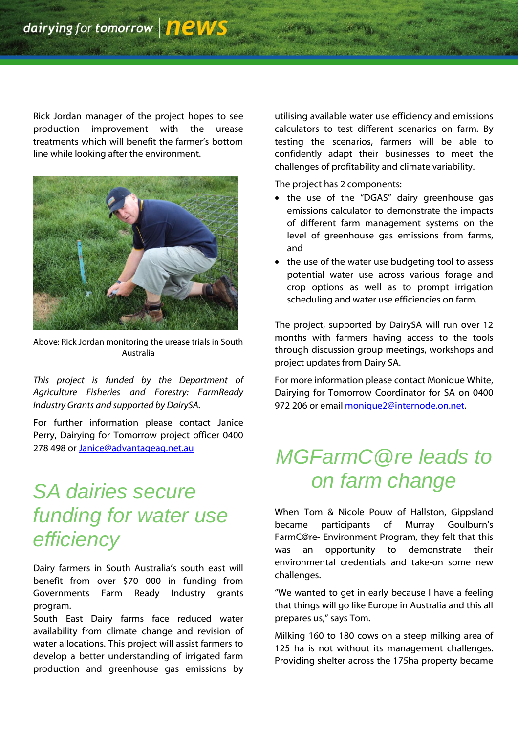Rick Jordan manager of the project hopes to see production improvement with the urease treatments which will benefit the farmer"s bottom line while looking after the environment.



Above: Rick Jordan monitoring the urease trials in South Australia

*This project is funded by the Department of Agriculture Fisheries and Forestry: FarmReady Industry Grants and supported by DairySA.*

For further information please contact Janice Perry, Dairying for Tomorrow project officer 0400 278 498 or *Janice@advantageag.net.au* 

### *SA dairies secure funding for water use efficiency*

Dairy farmers in South Australia's south east will benefit from over \$70 000 in funding from Governments Farm Ready Industry grants program.

South East Dairy farms face reduced water availability from climate change and revision of water allocations. This project will assist farmers to develop a better understanding of irrigated farm production and greenhouse gas emissions by

utilising available water use efficiency and emissions calculators to test different scenarios on farm. By testing the scenarios, farmers will be able to confidently adapt their businesses to meet the challenges of profitability and climate variability.

The project has 2 components:

- the use of the "DGAS" dairy greenhouse gas emissions calculator to demonstrate the impacts of different farm management systems on the level of greenhouse gas emissions from farms, and
- the use of the water use budgeting tool to assess potential water use across various forage and crop options as well as to prompt irrigation scheduling and water use efficiencies on farm.

The project, supported by DairySA will run over 12 months with farmers having access to the tools through discussion group meetings, workshops and project updates from Dairy SA.

For more information please contact Monique White, Dairying for Tomorrow Coordinator for SA on 0400 972 206 or email [monique2@internode.on.net.](mailto:monique2@internode.on.net)

## *MGFarmC@re leads to on farm change*

When Tom & Nicole Pouw of Hallston, Gippsland became participants of Murray Goulburn"s FarmC@re- Environment Program, they felt that this was an opportunity to demonstrate their environmental credentials and take-on some new challenges.

"We wanted to get in early because I have a feeling that things will go like Europe in Australia and this all prepares us," says Tom.

Milking 160 to 180 cows on a steep milking area of 125 ha is not without its management challenges. Providing shelter across the 175ha property became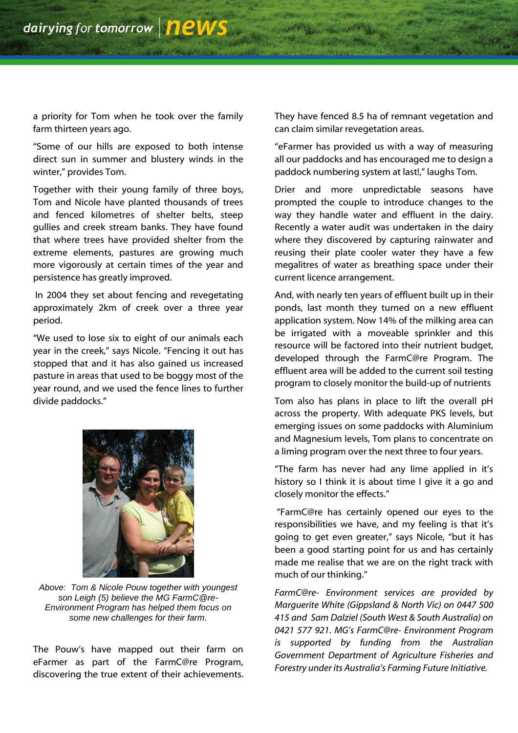a priority for Tom when he took over the family farm thirteen years ago.

"Some of our hills are exposed to both intense direct sun in summer and blustery winds in the winter," provides Tom.

Together with their young family of three boys, Tom and Nicole have planted thousands of trees and fenced kilometres of shelter belts, steep gullies and creek stream banks. They have found that where trees have provided shelter from the extreme elements, pastures are growing much more vigorously at certain times of the year and persistence has greatly improved.

In 2004 they set about fencing and revegetating approximately 2km of creek over a three year period.

"We used to lose six to eight of our animals each year in the creek," says Nicole. "Fencing it out has stopped that and it has also gained us increased pasture in areas that used to be boggy most of the year round, and we used the fence lines to further divide paddocks."



*Above: Tom & Nicole Pouw together with youngest son Leigh (5) believe the MG FarmC@re-Environment Program has helped them focus on some new challenges for their farm.*

The Pouw"s have mapped out their farm on eFarmer as part of the FarmC@re Program, discovering the true extent of their achievements. They have fenced 8.5 ha of remnant vegetation and can claim similar revegetation areas.

"eFarmer has provided us with a way of measuring all our paddocks and has encouraged me to design a paddock numbering system at last!," laughs Tom.

Drier and more unpredictable seasons have prompted the couple to introduce changes to the way they handle water and effluent in the dairy. Recently a water audit was undertaken in the dairy where they discovered by capturing rainwater and reusing their plate cooler water they have a few megalitres of water as breathing space under their current licence arrangement.

And, with nearly ten years of effluent built up in their ponds, last month they turned on a new effluent application system. Now 14% of the milking area can be irrigated with a moveable sprinkler and this resource will be factored into their nutrient budget, developed through the FarmC@re Program. The effluent area will be added to the current soil testing program to closely monitor the build-up of nutrients

Tom also has plans in place to lift the overall pH across the property. With adequate PKS levels, but emerging issues on some paddocks with Aluminium and Magnesium levels, Tom plans to concentrate on a liming program over the next three to four years.

"The farm has never had any lime applied in it"s history so I think it is about time I give it a go and closely monitor the effects."

"FarmC@re has certainly opened our eyes to the responsibilities we have, and my feeling is that it's going to get even greater," says Nicole, "but it has been a good starting point for us and has certainly made me realise that we are on the right track with much of our thinking."

*FarmC@re- Environment services are provided by Marguerite White (Gippsland & North Vic) on 0447 500 415 and Sam Dalziel (South West & South Australia) on 0421 577 921. MG's FarmC@re- Environment Program is supported by funding from the Australian Government Department of Agriculture Fisheries and Forestry under its Australia's Farming Future Initiative.*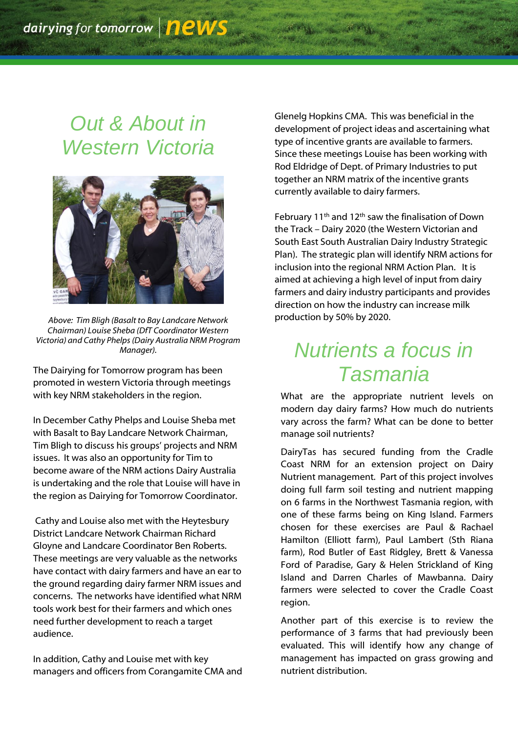## *Out & About in Western Victoria*



*Above: Tim Bligh (Basalt to Bay Landcare Network Chairman) Louise Sheba (DfT Coordinator Western Victoria) and Cathy Phelps (Dairy Australia NRM Program Manager).*

The Dairying for Tomorrow program has been promoted in western Victoria through meetings with key NRM stakeholders in the region.

In December Cathy Phelps and Louise Sheba met with Basalt to Bay Landcare Network Chairman, Tim Bligh to discuss his groups" projects and NRM issues. It was also an opportunity for Tim to become aware of the NRM actions Dairy Australia is undertaking and the role that Louise will have in the region as Dairying for Tomorrow Coordinator.

Cathy and Louise also met with the Heytesbury District Landcare Network Chairman Richard Gloyne and Landcare Coordinator Ben Roberts. These meetings are very valuable as the networks have contact with dairy farmers and have an ear to the ground regarding dairy farmer NRM issues and concerns. The networks have identified what NRM tools work best for their farmers and which ones need further development to reach a target audience.

In addition, Cathy and Louise met with key managers and officers from Corangamite CMA and Glenelg Hopkins CMA. This was beneficial in the development of project ideas and ascertaining what type of incentive grants are available to farmers. Since these meetings Louise has been working with Rod Eldridge of Dept. of Primary Industries to put together an NRM matrix of the incentive grants currently available to dairy farmers.

February 11th and 12th saw the finalisation of Down the Track – Dairy 2020 (the Western Victorian and South East South Australian Dairy Industry Strategic Plan). The strategic plan will identify NRM actions for inclusion into the regional NRM Action Plan. It is aimed at achieving a high level of input from dairy farmers and dairy industry participants and provides direction on how the industry can increase milk production by 50% by 2020.

# *Nutrients a focus in Tasmania*

What are the appropriate nutrient levels on modern day dairy farms? How much do nutrients vary across the farm? What can be done to better manage soil nutrients?

DairyTas has secured funding from the Cradle Coast NRM for an extension project on Dairy Nutrient management. Part of this project involves doing full farm soil testing and nutrient mapping on 6 farms in the Northwest Tasmania region, with one of these farms being on King Island. Farmers chosen for these exercises are Paul & Rachael Hamilton (Elliott farm), Paul Lambert (Sth Riana farm), Rod Butler of East Ridgley, Brett & Vanessa Ford of Paradise, Gary & Helen Strickland of King Island and Darren Charles of Mawbanna. Dairy farmers were selected to cover the Cradle Coast region.

Another part of this exercise is to review the performance of 3 farms that had previously been evaluated. This will identify how any change of management has impacted on grass growing and nutrient distribution.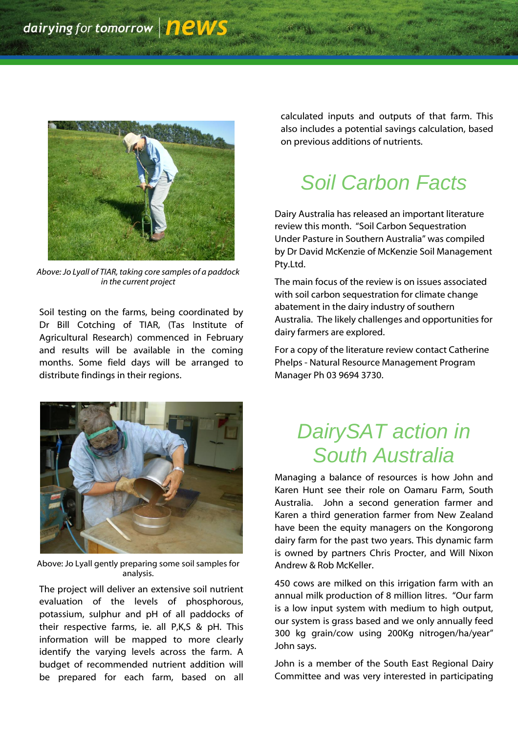

*Above: Jo Lyall of TIAR, taking core samples of a paddock in the current project*

Soil testing on the farms, being coordinated by Dr Bill Cotching of TIAR, (Tas Institute of Agricultural Research) commenced in February and results will be available in the coming months. Some field days will be arranged to distribute findings in their regions.



Above: Jo Lyall gently preparing some soil samples for analysis.

The project will deliver an extensive soil nutrient evaluation of the levels of phosphorous, potassium, sulphur and pH of all paddocks of their respective farms, ie. all P,K,S & pH. This information will be mapped to more clearly identify the varying levels across the farm. A budget of recommended nutrient addition will be prepared for each farm, based on all

calculated inputs and outputs of that farm. This also includes a potential savings calculation, based on previous additions of nutrients.

# *Soil Carbon Facts*

Dairy Australia has released an important literature review this month. "Soil Carbon Sequestration Under Pasture in Southern Australia" was compiled by Dr David McKenzie of McKenzie Soil Management Pty.Ltd.

The main focus of the review is on issues associated with soil carbon sequestration for climate change abatement in the dairy industry of southern Australia. The likely challenges and opportunities for dairy farmers are explored.

For a copy of the literature review contact Catherine Phelps - Natural Resource Management Program Manager Ph 03 9694 3730.

### *DairySAT action in South Australia*

Managing a balance of resources is how John and Karen Hunt see their role on Oamaru Farm, South Australia. John a second generation farmer and Karen a third generation farmer from New Zealand have been the equity managers on the Kongorong dairy farm for the past two years. This dynamic farm is owned by partners Chris Procter, and Will Nixon Andrew & Rob McKeller.

450 cows are milked on this irrigation farm with an annual milk production of 8 million litres. "Our farm is a low input system with medium to high output, our system is grass based and we only annually feed 300 kg grain/cow using 200Kg nitrogen/ha/year" John says.

John is a member of the South East Regional Dairy Committee and was very interested in participating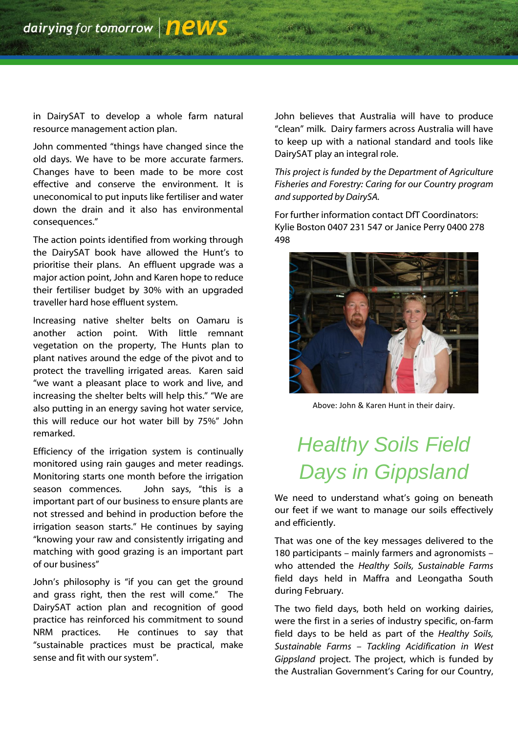in DairySAT to develop a whole farm natural resource management action plan.

John commented "things have changed since the old days. We have to be more accurate farmers. Changes have to been made to be more cost effective and conserve the environment. It is uneconomical to put inputs like fertiliser and water down the drain and it also has environmental consequences."

The action points identified from working through the DairySAT book have allowed the Hunt's to prioritise their plans. An effluent upgrade was a major action point, John and Karen hope to reduce their fertiliser budget by 30% with an upgraded traveller hard hose effluent system.

Increasing native shelter belts on Oamaru is another action point. With little remnant vegetation on the property, The Hunts plan to plant natives around the edge of the pivot and to protect the travelling irrigated areas. Karen said "we want a pleasant place to work and live, and increasing the shelter belts will help this." "We are also putting in an energy saving hot water service, this will reduce our hot water bill by 75%" John remarked.

Efficiency of the irrigation system is continually monitored using rain gauges and meter readings. Monitoring starts one month before the irrigation season commences. John says, "this is a important part of our business to ensure plants are not stressed and behind in production before the irrigation season starts." He continues by saying "knowing your raw and consistently irrigating and matching with good grazing is an important part of our business"

John"s philosophy is "if you can get the ground and grass right, then the rest will come." The DairySAT action plan and recognition of good practice has reinforced his commitment to sound NRM practices. He continues to say that "sustainable practices must be practical, make sense and fit with our system".

John believes that Australia will have to produce "clean" milk. Dairy farmers across Australia will have to keep up with a national standard and tools like DairySAT play an integral role.

*This project is funded by the Department of Agriculture Fisheries and Forestry: Caring for our Country program and supported by DairySA.*

For further information contact DfT Coordinators: Kylie Boston 0407 231 547 or Janice Perry 0400 278 498



Above: John & Karen Hunt in their dairy.

# *Healthy Soils Field Days in Gippsland*

We need to understand what's going on beneath our feet if we want to manage our soils effectively and efficiently.

That was one of the key messages delivered to the 180 participants – mainly farmers and agronomists – who attended the *Healthy Soils, Sustainable Farms* field days held in Maffra and Leongatha South during February.

The two field days, both held on working dairies, were the first in a series of industry specific, on-farm field days to be held as part of the *Healthy Soils, Sustainable Farms – Tackling Acidification in West Gippsland* project. The project, which is funded by the Australian Government's Caring for our Country,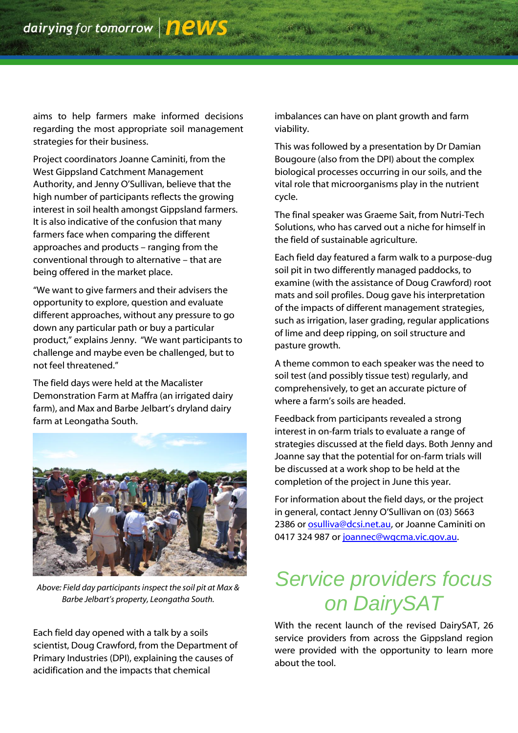aims to help farmers make informed decisions regarding the most appropriate soil management strategies for their business.

Project coordinators Joanne Caminiti, from the West Gippsland Catchment Management Authority, and Jenny O"Sullivan, believe that the high number of participants reflects the growing interest in soil health amongst Gippsland farmers. It is also indicative of the confusion that many farmers face when comparing the different approaches and products – ranging from the conventional through to alternative – that are being offered in the market place.

"We want to give farmers and their advisers the opportunity to explore, question and evaluate different approaches, without any pressure to go down any particular path or buy a particular product," explains Jenny. "We want participants to challenge and maybe even be challenged, but to not feel threatened."

The field days were held at the Macalister Demonstration Farm at Maffra (an irrigated dairy farm), and Max and Barbe Jelbart's dryland dairy farm at Leongatha South.



*Above: Field day participants inspect the soil pit at Max & Barbe Jelbart's property, Leongatha South.*

Each field day opened with a talk by a soils scientist, Doug Crawford, from the Department of Primary Industries (DPI), explaining the causes of acidification and the impacts that chemical

imbalances can have on plant growth and farm viability.

This was followed by a presentation by Dr Damian Bougoure (also from the DPI) about the complex biological processes occurring in our soils, and the vital role that microorganisms play in the nutrient cycle.

The final speaker was Graeme Sait, from Nutri-Tech Solutions, who has carved out a niche for himself in the field of sustainable agriculture.

Each field day featured a farm walk to a purpose-dug soil pit in two differently managed paddocks, to examine (with the assistance of Doug Crawford) root mats and soil profiles. Doug gave his interpretation of the impacts of different management strategies, such as irrigation, laser grading, regular applications of lime and deep ripping, on soil structure and pasture growth.

A theme common to each speaker was the need to soil test (and possibly tissue test) regularly, and comprehensively, to get an accurate picture of where a farm"s soils are headed.

Feedback from participants revealed a strong interest in on-farm trials to evaluate a range of strategies discussed at the field days. Both Jenny and Joanne say that the potential for on-farm trials will be discussed at a work shop to be held at the completion of the project in June this year.

For information about the field days, or the project in general, contact Jenny O"Sullivan on (03) 5663 2386 o[r osulliva@dcsi.net.au,](mailto:osulliva@dcsi.net.au) or Joanne Caminiti on 0417 324 987 o[r joannec@wgcma.vic.gov.au.](mailto:joannec@wgcma.vic.gov.au)

# *Service providers focus on DairySAT*

With the recent launch of the revised DairySAT, 26 service providers from across the Gippsland region were provided with the opportunity to learn more about the tool.